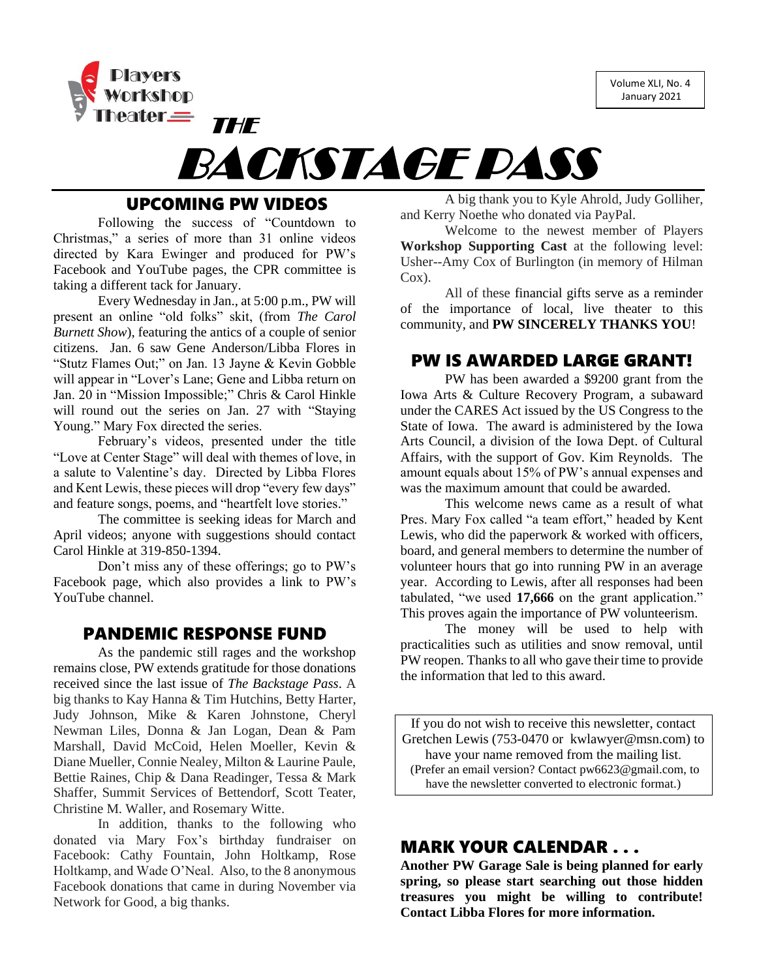Volume XLI, No. 4 January 2021





# UPCOMING PW VIDEOS

Following the success of "Countdown to Christmas," a series of more than 31 online videos directed by Kara Ewinger and produced for PW's Facebook and YouTube pages, the CPR committee is taking a different tack for January.

Every Wednesday in Jan., at 5:00 p.m., PW will present an online "old folks" skit, (from *The Carol Burnett Show*), featuring the antics of a couple of senior citizens. Jan. 6 saw Gene Anderson/Libba Flores in "Stutz Flames Out;" on Jan. 13 Jayne & Kevin Gobble will appear in "Lover's Lane; Gene and Libba return on Jan. 20 in "Mission Impossible;" Chris & Carol Hinkle will round out the series on Jan. 27 with "Staying Young." Mary Fox directed the series.

February's videos, presented under the title "Love at Center Stage" will deal with themes of love, in a salute to Valentine's day. Directed by Libba Flores and Kent Lewis, these pieces will drop "every few days" and feature songs, poems, and "heartfelt love stories."

The committee is seeking ideas for March and April videos; anyone with suggestions should contact Carol Hinkle at 319-850-1394.

Don't miss any of these offerings; go to PW's Facebook page, which also provides a link to PW's YouTube channel.

### PANDEMIC RESPONSE FUND

As the pandemic still rages and the workshop remains close, PW extends gratitude for those donations received since the last issue of *The Backstage Pass*. A big thanks to Kay Hanna & Tim Hutchins, Betty Harter, Judy Johnson, Mike & Karen Johnstone, Cheryl Newman Liles, Donna & Jan Logan, Dean & Pam Marshall, David McCoid, Helen Moeller, Kevin & Diane Mueller, Connie Nealey, Milton & Laurine Paule, Bettie Raines, Chip & Dana Readinger, Tessa & Mark Shaffer, Summit Services of Bettendorf, Scott Teater, Christine M. Waller, and Rosemary Witte.

In addition, thanks to the following who donated via Mary Fox's birthday fundraiser on Facebook: Cathy Fountain, John Holtkamp, Rose Holtkamp, and Wade O'Neal. Also, to the 8 anonymous Facebook donations that came in during November via Network for Good, a big thanks.

A big thank you to Kyle Ahrold, Judy Golliher, and Kerry Noethe who donated via PayPal.

Welcome to the newest member of Players **Workshop Supporting Cast** at the following level: Usher--Amy Cox of Burlington (in memory of Hilman Cox).

All of these financial gifts serve as a reminder of the importance of local, live theater to this community, and **PW SINCERELY THANKS YOU**!

# PW IS AWARDED LARGE GRANT!

PW has been awarded a \$9200 grant from the Iowa Arts & Culture Recovery Program, a subaward under the CARES Act issued by the US Congress to the State of Iowa. The award is administered by the Iowa Arts Council, a division of the Iowa Dept. of Cultural Affairs, with the support of Gov. Kim Reynolds. The amount equals about 15% of PW's annual expenses and was the maximum amount that could be awarded.

This welcome news came as a result of what Pres. Mary Fox called "a team effort," headed by Kent Lewis, who did the paperwork & worked with officers, board, and general members to determine the number of volunteer hours that go into running PW in an average year. According to Lewis, after all responses had been tabulated, "we used **17,666** on the grant application." This proves again the importance of PW volunteerism.

The money will be used to help with practicalities such as utilities and snow removal, until PW reopen. Thanks to all who gave their time to provide the information that led to this award.

If you do not wish to receive this newsletter, contact Gretchen Lewis (753-0470 or kwlawyer@msn.com) to have your name removed from the mailing list. (Prefer an email version? Contact pw6623@gmail.com, to have the newsletter converted to electronic format.)

# MARK YOUR CALENDAR . . .

**Another PW Garage Sale is being planned for early spring, so please start searching out those hidden treasures you might be willing to contribute! Contact Libba Flores for more information.**